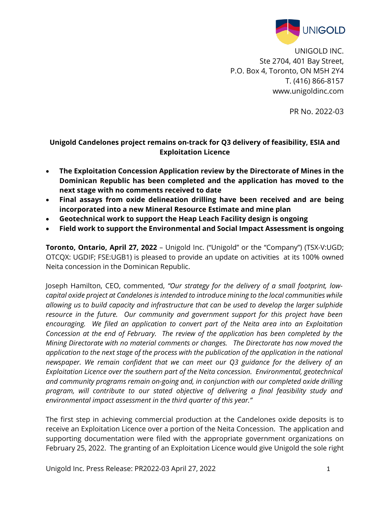

UNIGOLD INC. Ste 2704, 401 Bay Street, P.O. Box 4, Toronto, ON M5H 2Y4 T. (416) 866-8157 www.unigoldinc.com

PR No. 2022-03

## **Unigold Candelones project remains on-track for Q3 delivery of feasibility, ESIA and Exploitation Licence**

- **The Exploitation Concession Application review by the Directorate of Mines in the Dominican Republic has been completed and the application has moved to the next stage with no comments received to date**
- **Final assays from oxide delineation drilling have been received and are being incorporated into a new Mineral Resource Estimate and mine plan**
- **Geotechnical work to support the Heap Leach Facility design is ongoing**
- **Field work to support the Environmental and Social Impact Assessment is ongoing**

**Toronto, Ontario, April 27, 2022** – Unigold Inc. ("Unigold" or the "Company") (TSX-V:UGD; OTCQX: UGDIF; FSE:UGB1) is pleased to provide an update on activities at its 100% owned Neita concession in the Dominican Republic.

Joseph Hamilton, CEO, commented, *"Our strategy for the delivery of a small footprint, lowcapital oxide project at Candelones is intended to introduce mining to the local communities while allowing us to build capacity and infrastructure that can be used to develop the larger sulphide resource in the future. Our community and government support for this project have been encouraging. We filed an application to convert part of the Neita area into an Exploitation Concession at the end of February. The review of the application has been completed by the Mining Directorate with no material comments or changes. The Directorate has now moved the application to the next stage of the process with the publication of the application in the national newspaper. We remain confident that we can meet our Q3 guidance for the delivery of an Exploitation Licence over the southern part of the Neita concession. Environmental, geotechnical and community programs remain on-going and, in conjunction with our completed oxide drilling program, will contribute to our stated objective of delivering a final feasibility study and environmental impact assessment in the third quarter of this year."*

The first step in achieving commercial production at the Candelones oxide deposits is to receive an Exploitation Licence over a portion of the Neita Concession. The application and supporting documentation were filed with the appropriate government organizations on February 25, 2022. The granting of an Exploitation Licence would give Unigold the sole right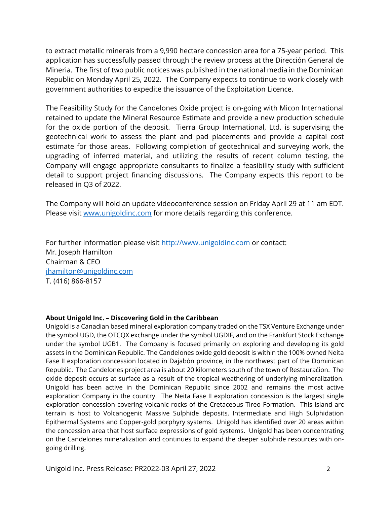to extract metallic minerals from a 9,990 hectare concession area for a 75-year period. This application has successfully passed through the review process at the Dirección General de Mineria. The first of two public notices was published in the national media in the Dominican Republic on Monday April 25, 2022. The Company expects to continue to work closely with government authorities to expedite the issuance of the Exploitation Licence.

The Feasibility Study for the Candelones Oxide project is on-going with Micon International retained to update the Mineral Resource Estimate and provide a new production schedule for the oxide portion of the deposit. Tierra Group International, Ltd. is supervising the geotechnical work to assess the plant and pad placements and provide a capital cost estimate for those areas. Following completion of geotechnical and surveying work, the upgrading of inferred material, and utilizing the results of recent column testing, the Company will engage appropriate consultants to finalize a feasibility study with sufficient detail to support project financing discussions. The Company expects this report to be released in Q3 of 2022.

The Company will hold an update videoconference session on Friday April 29 at 11 am EDT. Please visit [www.unigoldinc.com](http://www.unigoldinc.com/) for more details regarding this conference.

For further information please visit [http://www.unigoldinc.com](http://www.unigoldinc.com/) or contact: Mr. Joseph Hamilton Chairman & CEO [jhamilton@unigoldinc.com](mailto:jhamilton@unigoldinc.com) T. (416) 866-8157

## **About Unigold Inc. – Discovering Gold in the Caribbean**

Unigold is a Canadian based mineral exploration company traded on the TSX Venture Exchange under the symbol UGD, the OTCQX exchange under the symbol UGDIF, and on the Frankfurt Stock Exchange under the symbol UGB1. The Company is focused primarily on exploring and developing its gold assets in the Dominican Republic. The Candelones oxide gold deposit is within the 100% owned Neita Fase II exploration concession located in Dajabón province, in the northwest part of the Dominican Republic. The Candelones project area is about 20 kilometers south of the town of Restauraćion. The oxide deposit occurs at surface as a result of the tropical weathering of underlying mineralization. Unigold has been active in the Dominican Republic since 2002 and remains the most active exploration Company in the country. The Neita Fase II exploration concession is the largest single exploration concession covering volcanic rocks of the Cretaceous Tireo Formation. This island arc terrain is host to Volcanogenic Massive Sulphide deposits, Intermediate and High Sulphidation Epithermal Systems and Copper-gold porphyry systems. Unigold has identified over 20 areas within the concession area that host surface expressions of gold systems. Unigold has been concentrating on the Candelones mineralization and continues to expand the deeper sulphide resources with ongoing drilling.